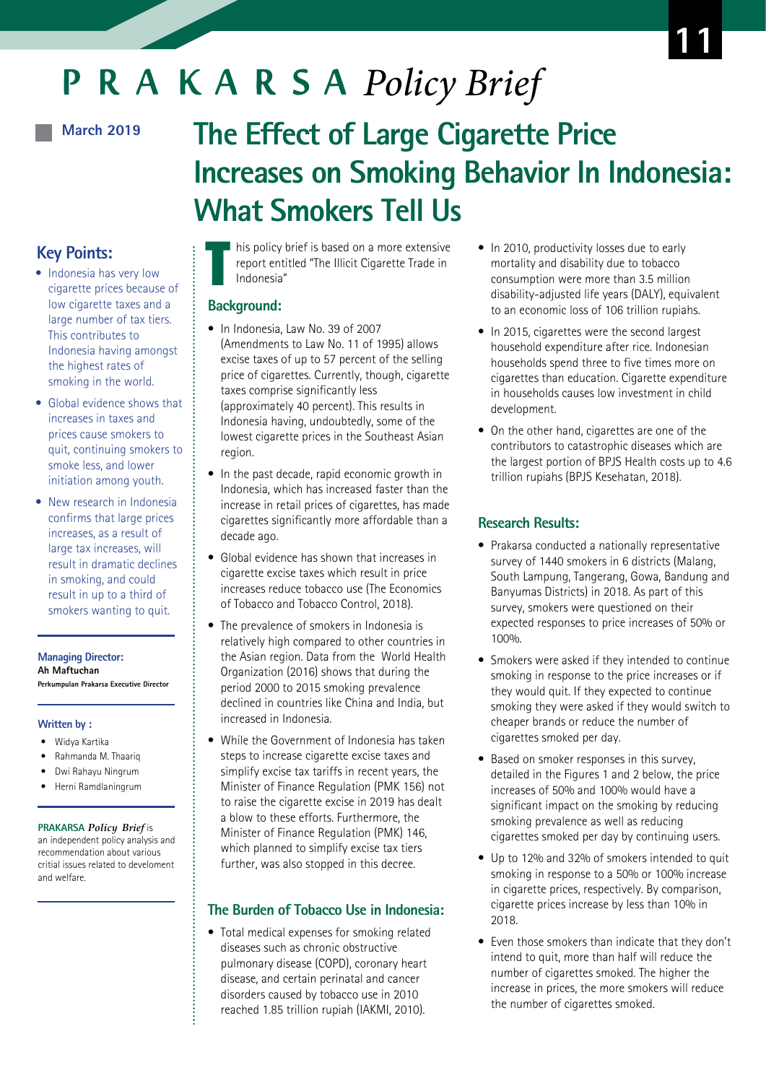# P R A K A R S A Policy Brief

# **March 2019**

# **The Effect of Large Cigarette Price Increases on Smoking Behavior In Indonesia: What Smokers Tell Us**

# **Key Points:**

- Indonesia has very low cigarette prices because of low cigarette taxes and a large number of tax tiers. This contributes to Indonesia having amongst the highest rates of smoking in the world.
- Global evidence shows that increases in taxes and prices cause smokers to quit, continuing smokers to smoke less, and lower initiation among youth.
- New research in Indonesia confirms that large prices increases, as a result of large tax increases, will result in dramatic declines in smoking, and could result in up to a third of smokers wanting to quit.

**Managing Director: Ah Maftuchan Perkumpulan Prakarsa Executive Director**

# **Written by :**

- Widya Kartika
- Rahmanda M. Thaariq
- Dwi Rahayu Ningrum
- Herni Ramdlaningrum

#### **PRAKARSA** *Policy Brief* is

an independent policy analysis and recommendation about various critial issues related to develoment and welfare.

T his policy brief is based on a more extensive report entitled "The Illicit Cigarette Trade in Indonesia"

### **Background:**

- In Indonesia, Law No. 39 of 2007 (Amendments to Law No. 11 of 1995) allows excise taxes of up to 57 percent of the selling price of cigarettes. Currently, though, cigarette taxes comprise significantly less (approximately 40 percent). This results in Indonesia having, undoubtedly, some of the lowest cigarette prices in the Southeast Asian region.
- In the past decade, rapid economic growth in Indonesia, which has increased faster than the increase in retail prices of cigarettes, has made cigarettes significantly more affordable than a decade ago.
- Global evidence has shown that increases in cigarette excise taxes which result in price increases reduce tobacco use (The Economics of Tobacco and Tobacco Control, 2018).
- The prevalence of smokers in Indonesia is relatively high compared to other countries in the Asian region. Data from the World Health Organization (2016) shows that during the period 2000 to 2015 smoking prevalence declined in countries like China and India, but increased in Indonesia.
- While the Government of Indonesia has taken steps to increase cigarette excise taxes and simplify excise tax tariffs in recent years, the Minister of Finance Regulation (PMK 156) not to raise the cigarette excise in 2019 has dealt a blow to these efforts. Furthermore, the Minister of Finance Regulation (PMK) 146, which planned to simplify excise tax tiers further, was also stopped in this decree.

# **The Burden of Tobacco Use in Indonesia:**

• Total medical expenses for smoking related diseases such as chronic obstructive pulmonary disease (COPD), coronary heart disease, and certain perinatal and cancer disorders caused by tobacco use in 2010 reached 1.85 trillion rupiah (IAKMI, 2010).

- In 2010, productivity losses due to early mortality and disability due to tobacco consumption were more than 3.5 million disability-adjusted life years (DALY), equivalent to an economic loss of 106 trillion rupiahs.
- In 2015, cigarettes were the second largest household expenditure after rice. Indonesian households spend three to five times more on cigarettes than education. Cigarette expenditure in households causes low investment in child development.
- On the other hand, cigarettes are one of the contributors to catastrophic diseases which are the largest portion of BPJS Health costs up to 4.6 trillion rupiahs (BPJS Kesehatan, 2018).

# **Research Results:**

- Prakarsa conducted a nationally representative survey of 1440 smokers in 6 districts (Malang, South Lampung, Tangerang, Gowa, Bandung and Banyumas Districts) in 2018. As part of this survey, smokers were questioned on their expected responses to price increases of 50% or 100%.
- Smokers were asked if they intended to continue smoking in response to the price increases or if they would quit. If they expected to continue smoking they were asked if they would switch to cheaper brands or reduce the number of cigarettes smoked per day.
- Based on smoker responses in this survey, detailed in the Figures 1 and 2 below, the price increases of 50% and 100% would have a significant impact on the smoking by reducing smoking prevalence as well as reducing cigarettes smoked per day by continuing users.
- Up to 12% and 32% of smokers intended to quit smoking in response to a 50% or 100% increase in cigarette prices, respectively. By comparison, cigarette prices increase by less than 10% in 2018.
- Even those smokers than indicate that they don't intend to quit, more than half will reduce the number of cigarettes smoked. The higher the increase in prices, the more smokers will reduce the number of cigarettes smoked.